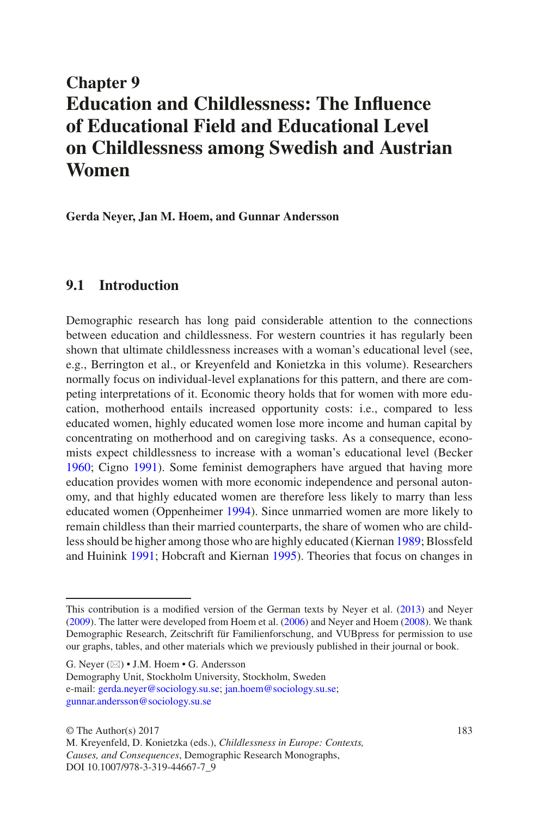# **Chapter 9 Education and Childlessness: The Influence of Educational Field and Educational Level on Childlessness among Swedish and Austrian Women**

**Gerda Neyer, Jan M. Hoem, and Gunnar Andersson**

## **9.1 Introduction**

Demographic research has long paid considerable attention to the connections between education and childlessness. For western countries it has regularly been shown that ultimate childlessness increases with a woman's educational level (see, e.g., Berrington et al., or Kreyenfeld and Konietzka in this volume). Researchers normally focus on individual-level explanations for this pattern, and there are competing interpretations of it. Economic theory holds that for women with more education, motherhood entails increased opportunity costs: i.e., compared to less educated women, highly educated women lose more income and human capital by concentrating on motherhood and on caregiving tasks. As a consequence, economists expect childlessness to increase with a woman's educational level (Becker [1960;](#page-21-0) Cigno [1991\)](#page-21-1). Some feminist demographers have argued that having more education provides women with more economic independence and personal autonomy, and that highly educated women are therefore less likely to marry than less educated women (Oppenheimer [1994\)](#page-24-0). Since unmarried women are more likely to remain childless than their married counterparts, the share of women who are childless should be higher among those who are highly educated (Kiernan [1989](#page-23-0); Blossfeld and Huinink [1991](#page-21-2); Hobcraft and Kiernan [1995](#page-22-0)). Theories that focus on changes in

G. Neyer  $(\boxtimes) \cdot$  J.M. Hoem  $\cdot$  G. Andersson

Demography Unit, Stockholm University, Stockholm, Sweden e-mail: [gerda.neyer@sociology.su.se](mailto:gerda.neyer@sociology.su.se); [jan.hoem@sociology.su.se](mailto:jan.hoem@sociology.su.se); [gunnar.andersson@sociology.su.se](mailto:gunnar.andersson@sociology.su.se)

This contribution is a modified version of the German texts by Neyer et al. [\(2013](#page-23-1)) and Neyer ([2009\)](#page-23-2). The latter were developed from Hoem et al. ([2006\)](#page-22-1) and Neyer and Hoem ([2008\)](#page-23-3). We thank Demographic Research, Zeitschrift für Familienforschung, and VUBpress for permission to use our graphs, tables, and other materials which we previously published in their journal or book.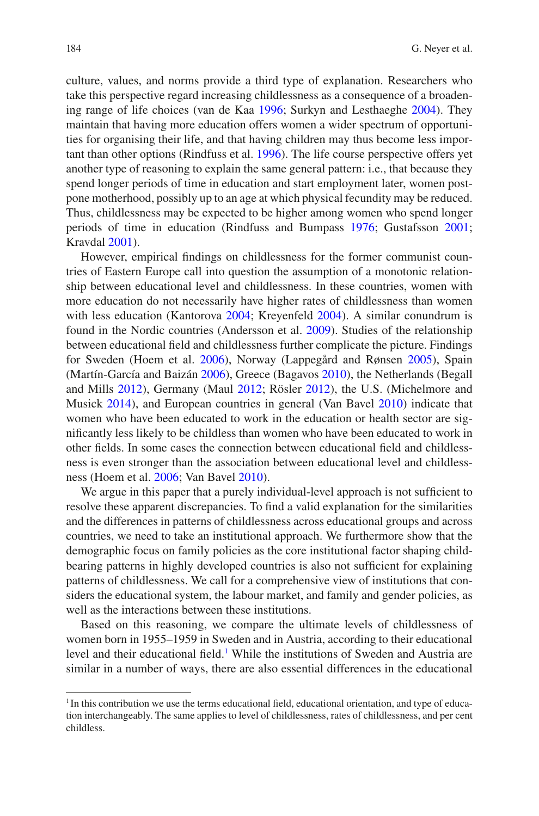culture, values, and norms provide a third type of explanation. Researchers who take this perspective regard increasing childlessness as a consequence of a broadening range of life choices (van de Kaa [1996;](#page-24-1) Surkyn and Lesthaeghe [2004\)](#page-24-2). They maintain that having more education offers women a wider spectrum of opportunities for organising their life, and that having children may thus become less important than other options (Rindfuss et al. [1996](#page-24-3)). The life course perspective offers yet another type of reasoning to explain the same general pattern: i.e., that because they spend longer periods of time in education and start employment later, women postpone motherhood, possibly up to an age at which physical fecundity may be reduced. Thus, childlessness may be expected to be higher among women who spend longer periods of time in education (Rindfuss and Bumpass [1976;](#page-24-4) Gustafsson [2001;](#page-22-2) Kravdal [2001](#page-23-4)).

However, empirical findings on childlessness for the former communist countries of Eastern Europe call into question the assumption of a monotonic relationship between educational level and childlessness. In these countries, women with more education do not necessarily have higher rates of childlessness than women with less education (Kantorova [2004](#page-22-3); Kreyenfeld [2004\)](#page-23-5). A similar conundrum is found in the Nordic countries (Andersson et al. [2009\)](#page-21-3). Studies of the relationship between educational field and childlessness further complicate the picture. Findings for Sweden (Hoem et al. [2006](#page-22-1)), Norway (Lappegård and Rønsen [2005\)](#page-23-6), Spain (Martín-García and Baizán [2006\)](#page-23-7), Greece (Bagavos [2010\)](#page-21-4), the Netherlands (Begall and Mills [2012](#page-21-5)), Germany (Maul [2012;](#page-23-8) Rösler [2012](#page-24-5)), the U.S. (Michelmore and Musick [2014](#page-23-9)), and European countries in general (Van Bavel [2010\)](#page-24-6) indicate that women who have been educated to work in the education or health sector are significantly less likely to be childless than women who have been educated to work in other fields. In some cases the connection between educational field and childlessness is even stronger than the association between educational level and childlessness (Hoem et al. [2006;](#page-22-1) Van Bavel [2010\)](#page-24-6).

We argue in this paper that a purely individual-level approach is not sufficient to resolve these apparent discrepancies. To find a valid explanation for the similarities and the differences in patterns of childlessness across educational groups and across countries, we need to take an institutional approach. We furthermore show that the demographic focus on family policies as the core institutional factor shaping childbearing patterns in highly developed countries is also not sufficient for explaining patterns of childlessness. We call for a comprehensive view of institutions that considers the educational system, the labour market, and family and gender policies, as well as the interactions between these institutions.

Based on this reasoning, we compare the ultimate levels of childlessness of women born in 1955–1959 in Sweden and in Austria, according to their educational level and their educational field.<sup>1</sup> While the institutions of Sweden and Austria are similar in a number of ways, there are also essential differences in the educational

<span id="page-1-0"></span><sup>&</sup>lt;sup>1</sup> In this contribution we use the terms educational field, educational orientation, and type of education interchangeably. The same applies to level of childlessness, rates of childlessness, and per cent childless.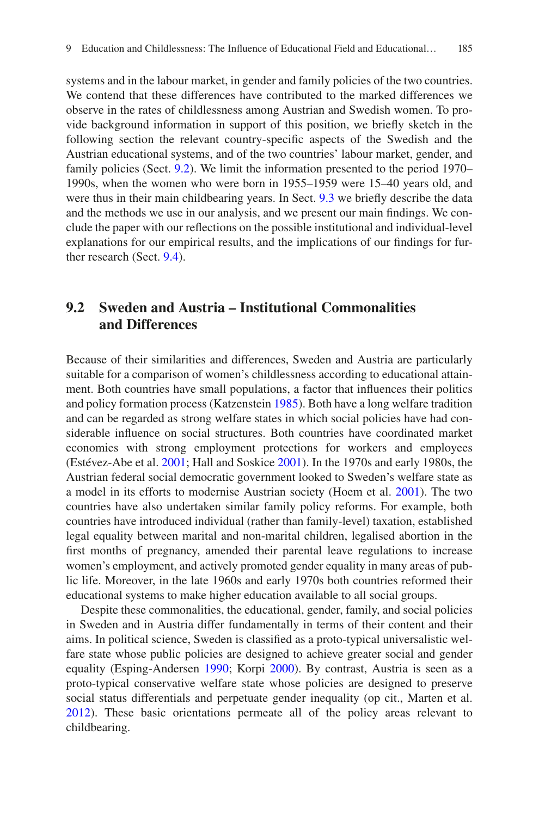systems and in the labour market, in gender and family policies of the two countries. We contend that these differences have contributed to the marked differences we observe in the rates of childlessness among Austrian and Swedish women. To provide background information in support of this position, we briefly sketch in the following section the relevant country-specific aspects of the Swedish and the Austrian educational systems, and of the two countries' labour market, gender, and family policies (Sect. [9.2\)](#page-2-0). We limit the information presented to the period 1970– 1990s, when the women who were born in 1955–1959 were 15–40 years old, and were thus in their main childbearing years. In Sect. [9.3](#page-8-0) we briefly describe the data and the methods we use in our analysis, and we present our main findings. We conclude the paper with our reflections on the possible institutional and individual-level explanations for our empirical results, and the implications of our findings for further research (Sect. [9.4\)](#page-15-0).

# <span id="page-2-0"></span>**9.2 Sweden and Austria – Institutional Commonalities and Differences**

Because of their similarities and differences, Sweden and Austria are particularly suitable for a comparison of women's childlessness according to educational attainment. Both countries have small populations, a factor that influences their politics and policy formation process (Katzenstein [1985](#page-22-4)). Both have a long welfare tradition and can be regarded as strong welfare states in which social policies have had considerable influence on social structures. Both countries have coordinated market economies with strong employment protections for workers and employees (Estévez-Abe et al. [2001;](#page-22-5) Hall and Soskice [2001](#page-22-6)). In the 1970s and early 1980s, the Austrian federal social democratic government looked to Sweden's welfare state as a model in its efforts to modernise Austrian society (Hoem et al. [2001\)](#page-22-7). The two countries have also undertaken similar family policy reforms. For example, both countries have introduced individual (rather than family-level) taxation, established legal equality between marital and non-marital children, legalised abortion in the first months of pregnancy, amended their parental leave regulations to increase women's employment, and actively promoted gender equality in many areas of public life. Moreover, in the late 1960s and early 1970s both countries reformed their educational systems to make higher education available to all social groups.

Despite these commonalities, the educational, gender, family, and social policies in Sweden and in Austria differ fundamentally in terms of their content and their aims. In political science, Sweden is classified as a proto-typical universalistic welfare state whose public policies are designed to achieve greater social and gender equality (Esping-Andersen [1990;](#page-22-8) Korpi [2000](#page-23-10)). By contrast, Austria is seen as a proto-typical conservative welfare state whose policies are designed to preserve social status differentials and perpetuate gender inequality (op cit., Marten et al. [2012\)](#page-23-11). These basic orientations permeate all of the policy areas relevant to childbearing.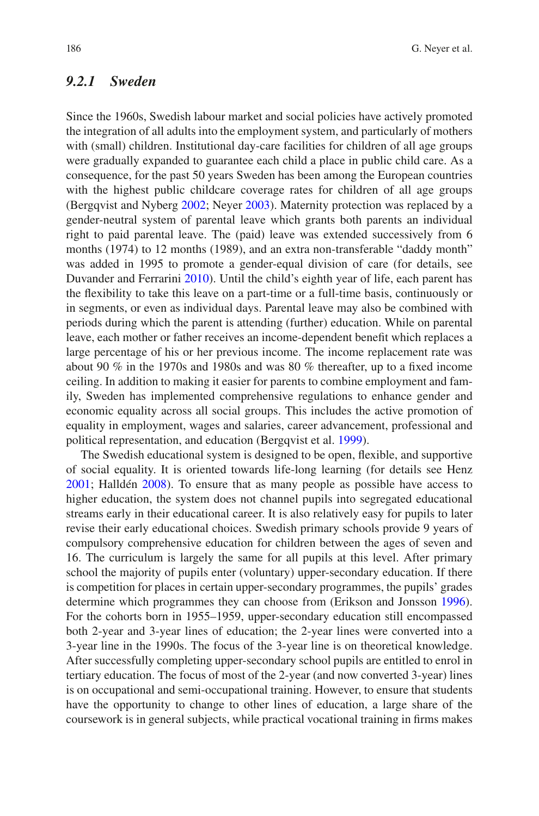## *9.2.1 Sweden*

Since the 1960s, Swedish labour market and social policies have actively promoted the integration of all adults into the employment system, and particularly of mothers with (small) children. Institutional day-care facilities for children of all age groups were gradually expanded to guarantee each child a place in public child care. As a consequence, for the past 50 years Sweden has been among the European countries with the highest public childcare coverage rates for children of all age groups (Bergqvist and Nyberg [2002;](#page-21-6) Neyer [2003](#page-23-12)). Maternity protection was replaced by a gender-neutral system of parental leave which grants both parents an individual right to paid parental leave. The (paid) leave was extended successively from 6 months (1974) to 12 months (1989), and an extra non-transferable "daddy month" was added in 1995 to promote a gender-equal division of care (for details, see Duvander and Ferrarini [2010](#page-22-9)). Until the child's eighth year of life, each parent has the flexibility to take this leave on a part-time or a full-time basis, continuously or in segments, or even as individual days. Parental leave may also be combined with periods during which the parent is attending (further) education. While on parental leave, each mother or father receives an income-dependent benefit which replaces a large percentage of his or her previous income. The income replacement rate was about 90 % in the 1970s and 1980s and was 80 % thereafter, up to a fixed income ceiling. In addition to making it easier for parents to combine employment and family, Sweden has implemented comprehensive regulations to enhance gender and economic equality across all social groups. This includes the active promotion of equality in employment, wages and salaries, career advancement, professional and political representation, and education (Bergqvist et al. [1999\)](#page-21-7).

The Swedish educational system is designed to be open, flexible, and supportive of social equality. It is oriented towards life-long learning (for details see Henz [2001;](#page-22-10) Halldén [2008\)](#page-22-11). To ensure that as many people as possible have access to higher education, the system does not channel pupils into segregated educational streams early in their educational career. It is also relatively easy for pupils to later revise their early educational choices. Swedish primary schools provide 9 years of compulsory comprehensive education for children between the ages of seven and 16. The curriculum is largely the same for all pupils at this level. After primary school the majority of pupils enter (voluntary) upper-secondary education. If there is competition for places in certain upper-secondary programmes, the pupils' grades determine which programmes they can choose from (Erikson and Jonsson [1996\)](#page-22-12). For the cohorts born in 1955–1959, upper-secondary education still encompassed both 2-year and 3-year lines of education; the 2-year lines were converted into a 3-year line in the 1990s. The focus of the 3-year line is on theoretical knowledge. After successfully completing upper-secondary school pupils are entitled to enrol in tertiary education. The focus of most of the 2-year (and now converted 3-year) lines is on occupational and semi-occupational training. However, to ensure that students have the opportunity to change to other lines of education, a large share of the coursework is in general subjects, while practical vocational training in firms makes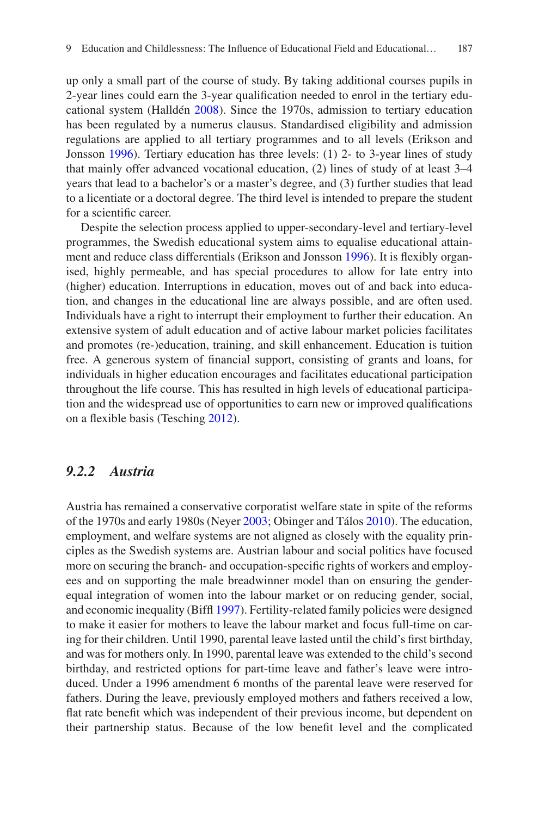up only a small part of the course of study. By taking additional courses pupils in 2-year lines could earn the 3-year qualification needed to enrol in the tertiary educational system (Halldén [2008\)](#page-22-11). Since the 1970s, admission to tertiary education has been regulated by a numerus clausus. Standardised eligibility and admission regulations are applied to all tertiary programmes and to all levels (Erikson and Jonsson [1996\)](#page-22-12). Tertiary education has three levels: (1) 2- to 3-year lines of study that mainly offer advanced vocational education, (2) lines of study of at least 3–4 years that lead to a bachelor's or a master's degree, and (3) further studies that lead to a licentiate or a doctoral degree. The third level is intended to prepare the student for a scientific career.

Despite the selection process applied to upper-secondary-level and tertiary-level programmes, the Swedish educational system aims to equalise educational attainment and reduce class differentials (Erikson and Jonsson [1996](#page-22-12)). It is flexibly organised, highly permeable, and has special procedures to allow for late entry into (higher) education. Interruptions in education, moves out of and back into education, and changes in the educational line are always possible, and are often used. Individuals have a right to interrupt their employment to further their education. An extensive system of adult education and of active labour market policies facilitates and promotes (re-)education, training, and skill enhancement. Education is tuition free. A generous system of financial support, consisting of grants and loans, for individuals in higher education encourages and facilitates educational participation throughout the life course. This has resulted in high levels of educational participation and the widespread use of opportunities to earn new or improved qualifications on a flexible basis (Tesching [2012\)](#page-24-7).

#### *9.2.2 Austria*

Austria has remained a conservative corporatist welfare state in spite of the reforms of the 1970s and early 1980s (Neyer [2003](#page-23-12); Obinger and Tálos [2010\)](#page-23-13). The education, employment, and welfare systems are not aligned as closely with the equality principles as the Swedish systems are. Austrian labour and social politics have focused more on securing the branch- and occupation-specific rights of workers and employees and on supporting the male breadwinner model than on ensuring the genderequal integration of women into the labour market or on reducing gender, social, and economic inequality (Biffl [1997\)](#page-21-8). Fertility-related family policies were designed to make it easier for mothers to leave the labour market and focus full-time on caring for their children. Until 1990, parental leave lasted until the child's first birthday, and was for mothers only. In 1990, parental leave was extended to the child's second birthday, and restricted options for part-time leave and father's leave were introduced. Under a 1996 amendment 6 months of the parental leave were reserved for fathers. During the leave, previously employed mothers and fathers received a low, flat rate benefit which was independent of their previous income, but dependent on their partnership status. Because of the low benefit level and the complicated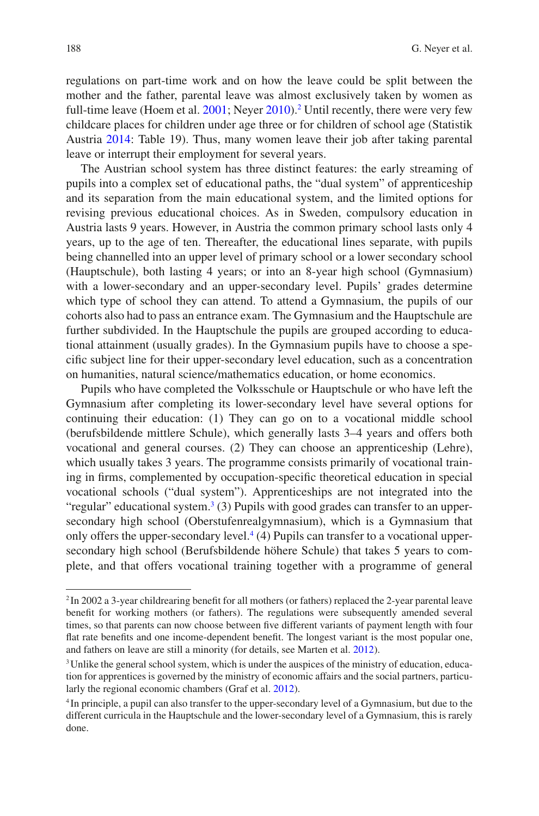regulations on part-time work and on how the leave could be split between the mother and the father, parental leave was almost exclusively taken by women as full-time leave (Hoem et al. [2001](#page-22-7); Neyer [2010\)](#page-23-14).<sup>[2](#page-5-0)</sup> Until recently, there were very few childcare places for children under age three or for children of school age (Statistik Austria [2014:](#page-24-8) Table 19). Thus, many women leave their job after taking parental leave or interrupt their employment for several years.

The Austrian school system has three distinct features: the early streaming of pupils into a complex set of educational paths, the "dual system" of apprenticeship and its separation from the main educational system, and the limited options for revising previous educational choices. As in Sweden, compulsory education in Austria lasts 9 years. However, in Austria the common primary school lasts only 4 years, up to the age of ten. Thereafter, the educational lines separate, with pupils being channelled into an upper level of primary school or a lower secondary school (Hauptschule), both lasting 4 years; or into an 8-year high school (Gymnasium) with a lower-secondary and an upper-secondary level. Pupils' grades determine which type of school they can attend. To attend a Gymnasium, the pupils of our cohorts also had to pass an entrance exam. The Gymnasium and the Hauptschule are further subdivided. In the Hauptschule the pupils are grouped according to educational attainment (usually grades). In the Gymnasium pupils have to choose a specific subject line for their upper-secondary level education, such as a concentration on humanities, natural science/mathematics education, or home economics.

Pupils who have completed the Volksschule or Hauptschule or who have left the Gymnasium after completing its lower-secondary level have several options for continuing their education: (1) They can go on to a vocational middle school (berufsbildende mittlere Schule), which generally lasts 3–4 years and offers both vocational and general courses. (2) They can choose an apprenticeship (Lehre), which usually takes 3 years. The programme consists primarily of vocational training in firms, complemented by occupation-specific theoretical education in special vocational schools ("dual system"). Apprenticeships are not integrated into the "regular" educational system.<sup>[3](#page-5-1)</sup> (3) Pupils with good grades can transfer to an uppersecondary high school (Oberstufenrealgymnasium), which is a Gymnasium that only offers the upper-secondary level. $4(4)$  $4(4)$  Pupils can transfer to a vocational uppersecondary high school (Berufsbildende höhere Schule) that takes 5 years to complete, and that offers vocational training together with a programme of general

<span id="page-5-0"></span><sup>2</sup> In 2002 a 3-year childrearing benefit for all mothers (or fathers) replaced the 2-year parental leave benefit for working mothers (or fathers). The regulations were subsequently amended several times, so that parents can now choose between five different variants of payment length with four flat rate benefits and one income-dependent benefit. The longest variant is the most popular one, and fathers on leave are still a minority (for details, see Marten et al. [2012](#page-23-11)).

<span id="page-5-1"></span><sup>&</sup>lt;sup>3</sup> Unlike the general school system, which is under the auspices of the ministry of education, education for apprentices is governed by the ministry of economic affairs and the social partners, particularly the regional economic chambers (Graf et al. [2012\)](#page-22-13).

<span id="page-5-2"></span><sup>4</sup> In principle, a pupil can also transfer to the upper-secondary level of a Gymnasium, but due to the different curricula in the Hauptschule and the lower-secondary level of a Gymnasium, this is rarely done.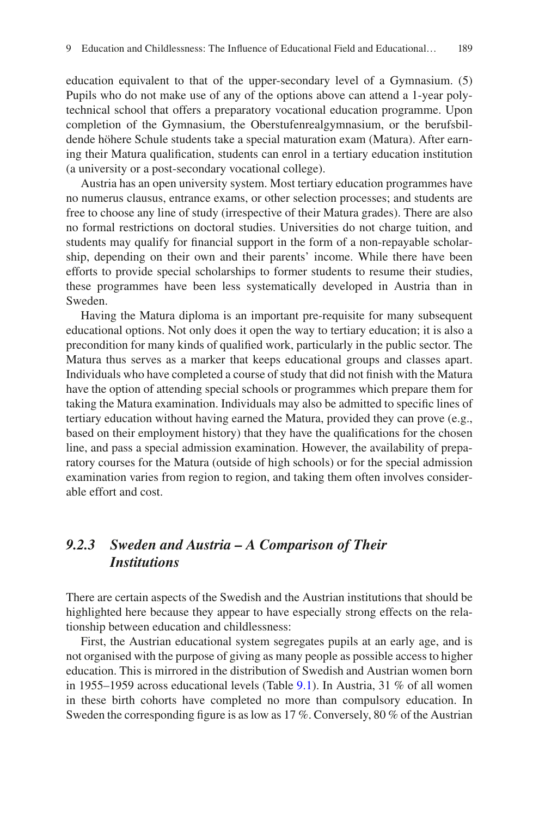education equivalent to that of the upper-secondary level of a Gymnasium. (5) Pupils who do not make use of any of the options above can attend a 1-year polytechnical school that offers a preparatory vocational education programme. Upon completion of the Gymnasium, the Oberstufenrealgymnasium, or the berufsbildende höhere Schule students take a special maturation exam (Matura). After earning their Matura qualification, students can enrol in a tertiary education institution (a university or a post-secondary vocational college).

Austria has an open university system. Most tertiary education programmes have no numerus clausus, entrance exams, or other selection processes; and students are free to choose any line of study (irrespective of their Matura grades). There are also no formal restrictions on doctoral studies. Universities do not charge tuition, and students may qualify for financial support in the form of a non-repayable scholarship, depending on their own and their parents' income. While there have been efforts to provide special scholarships to former students to resume their studies, these programmes have been less systematically developed in Austria than in Sweden.

Having the Matura diploma is an important pre-requisite for many subsequent educational options. Not only does it open the way to tertiary education; it is also a precondition for many kinds of qualified work, particularly in the public sector. The Matura thus serves as a marker that keeps educational groups and classes apart. Individuals who have completed a course of study that did not finish with the Matura have the option of attending special schools or programmes which prepare them for taking the Matura examination. Individuals may also be admitted to specific lines of tertiary education without having earned the Matura, provided they can prove (e.g., based on their employment history) that they have the qualifications for the chosen line, and pass a special admission examination. However, the availability of preparatory courses for the Matura (outside of high schools) or for the special admission examination varies from region to region, and taking them often involves considerable effort and cost.

# *9.2.3 Sweden and Austria – A Comparison of Their Institutions*

There are certain aspects of the Swedish and the Austrian institutions that should be highlighted here because they appear to have especially strong effects on the relationship between education and childlessness:

First, the Austrian educational system segregates pupils at an early age, and is not organised with the purpose of giving as many people as possible access to higher education. This is mirrored in the distribution of Swedish and Austrian women born in 1955–1959 across educational levels (Table [9.1\)](#page-7-0). In Austria, 31 % of all women in these birth cohorts have completed no more than compulsory education. In Sweden the corresponding figure is as low as 17 %. Conversely, 80 % of the Austrian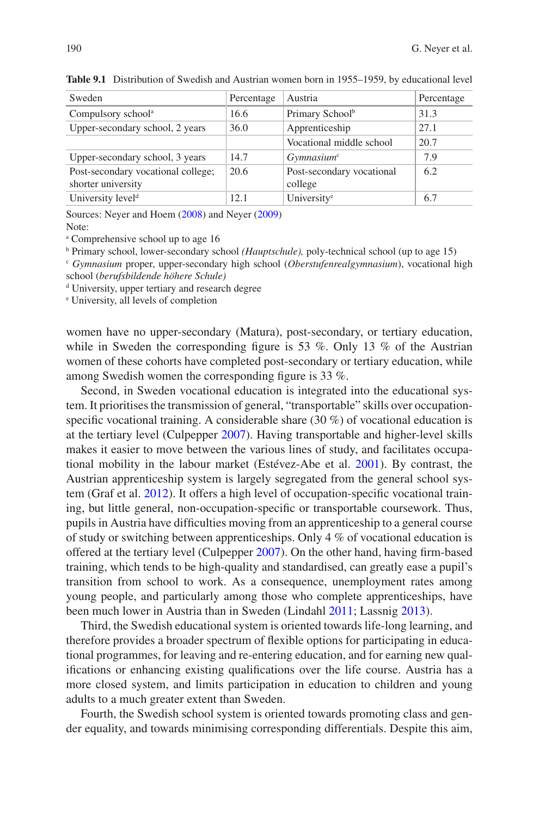| Sweden                                                   | Percentage | Austria                                     | Percentage |
|----------------------------------------------------------|------------|---------------------------------------------|------------|
| Compulsory school <sup>a</sup>                           | 16.6       | Primary School <sup>b</sup>                 | 31.3       |
| Upper-secondary school, 2 years                          | 36.0       | Apprenticeship                              | 27.1       |
|                                                          |            | Vocational middle school                    | 20.7       |
| Upper-secondary school, 3 years                          | 14.7       | Gymnasium <sup>c</sup>                      | 7.9        |
| Post-secondary vocational college;<br>shorter university | 20.6       | 6.2<br>Post-secondary vocational<br>college |            |
| University level <sup>d</sup>                            | 12.1       | University <sup>e</sup>                     | 6.7        |

<span id="page-7-0"></span>**Table 9.1** Distribution of Swedish and Austrian women born in 1955–1959, by educational level

Sources: Neyer and Hoem [\(2008](#page-23-3)) and Neyer [\(2009](#page-23-2)) Note:

a Comprehensive school up to age 16

<sup>b</sup> Primary school, lower-secondary school *(Hauptschule)*, poly-technical school (up to age 15)

<sup>c</sup> *Gymnasium* proper, upper-secondary high school (*Oberstufenrealgymnasium*), vocational high school (*berufsbildende höhere Schule)*

d University, upper tertiary and research degree

e University, all levels of completion

women have no upper-secondary (Matura), post-secondary, or tertiary education, while in Sweden the corresponding figure is 53  $\%$ . Only 13  $\%$  of the Austrian women of these cohorts have completed post-secondary or tertiary education, while among Swedish women the corresponding figure is 33 %.

Second, in Sweden vocational education is integrated into the educational system. It prioritises the transmission of general, "transportable" skills over occupationspecific vocational training. A considerable share (30 %) of vocational education is at the tertiary level (Culpepper [2007\)](#page-22-14). Having transportable and higher-level skills makes it easier to move between the various lines of study, and facilitates occupational mobility in the labour market (Estévez-Abe et al. [2001\)](#page-22-5). By contrast, the Austrian apprenticeship system is largely segregated from the general school system (Graf et al. [2012](#page-22-13)). It offers a high level of occupation-specific vocational training, but little general, non-occupation-specific or transportable coursework. Thus, pupils in Austria have difficulties moving from an apprenticeship to a general course of study or switching between apprenticeships. Only 4 % of vocational education is offered at the tertiary level (Culpepper [2007\)](#page-22-14). On the other hand, having firm-based training, which tends to be high-quality and standardised, can greatly ease a pupil's transition from school to work. As a consequence, unemployment rates among young people, and particularly among those who complete apprenticeships, have been much lower in Austria than in Sweden (Lindahl [2011](#page-23-15); Lassnig [2013](#page-23-16)).

Third, the Swedish educational system is oriented towards life-long learning, and therefore provides a broader spectrum of flexible options for participating in educational programmes, for leaving and re-entering education, and for earning new qualifications or enhancing existing qualifications over the life course. Austria has a more closed system, and limits participation in education to children and young adults to a much greater extent than Sweden.

Fourth, the Swedish school system is oriented towards promoting class and gender equality, and towards minimising corresponding differentials. Despite this aim,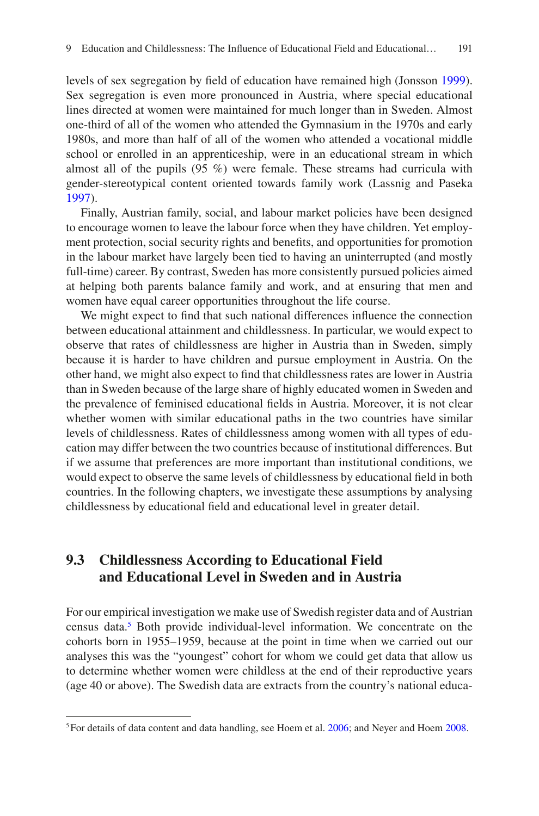levels of sex segregation by field of education have remained high (Jonsson [1999\)](#page-22-15). Sex segregation is even more pronounced in Austria, where special educational lines directed at women were maintained for much longer than in Sweden. Almost one-third of all of the women who attended the Gymnasium in the 1970s and early 1980s, and more than half of all of the women who attended a vocational middle school or enrolled in an apprenticeship, were in an educational stream in which almost all of the pupils (95 %) were female. These streams had curricula with gender-stereotypical content oriented towards family work (Lassnig and Paseka [1997\)](#page-23-17).

Finally, Austrian family, social, and labour market policies have been designed to encourage women to leave the labour force when they have children. Yet employment protection, social security rights and benefits, and opportunities for promotion in the labour market have largely been tied to having an uninterrupted (and mostly full-time) career. By contrast, Sweden has more consistently pursued policies aimed at helping both parents balance family and work, and at ensuring that men and women have equal career opportunities throughout the life course.

We might expect to find that such national differences influence the connection between educational attainment and childlessness. In particular, we would expect to observe that rates of childlessness are higher in Austria than in Sweden, simply because it is harder to have children and pursue employment in Austria. On the other hand, we might also expect to find that childlessness rates are lower in Austria than in Sweden because of the large share of highly educated women in Sweden and the prevalence of feminised educational fields in Austria. Moreover, it is not clear whether women with similar educational paths in the two countries have similar levels of childlessness. Rates of childlessness among women with all types of education may differ between the two countries because of institutional differences. But if we assume that preferences are more important than institutional conditions, we would expect to observe the same levels of childlessness by educational field in both countries. In the following chapters, we investigate these assumptions by analysing childlessness by educational field and educational level in greater detail.

# <span id="page-8-0"></span>**9.3 Childlessness According to Educational Field and Educational Level in Sweden and in Austria**

For our empirical investigation we make use of Swedish register data and of Austrian census data.<sup>5</sup> Both provide individual-level information. We concentrate on the cohorts born in 1955–1959, because at the point in time when we carried out our analyses this was the "youngest" cohort for whom we could get data that allow us to determine whether women were childless at the end of their reproductive years (age 40 or above). The Swedish data are extracts from the country's national educa-

<span id="page-8-1"></span><sup>&</sup>lt;sup>5</sup> For details of data content and data handling, see Hoem et al. [2006](#page-22-1); and Neyer and Hoem [2008](#page-23-3).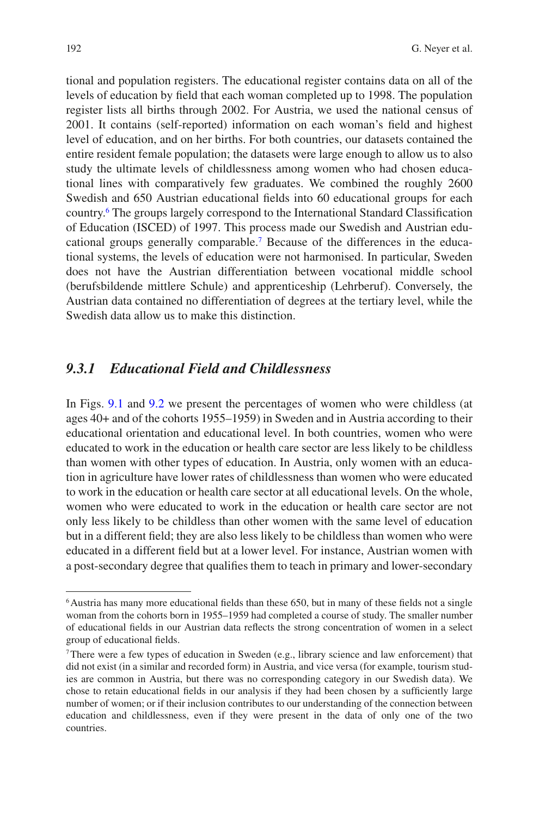tional and population registers. The educational register contains data on all of the levels of education by field that each woman completed up to 1998. The population register lists all births through 2002. For Austria, we used the national census of 2001. It contains (self-reported) information on each woman's field and highest level of education, and on her births. For both countries, our datasets contained the entire resident female population; the datasets were large enough to allow us to also study the ultimate levels of childlessness among women who had chosen educational lines with comparatively few graduates. We combined the roughly 2600 Swedish and 650 Austrian educational fields into 60 educational groups for each country[.6](#page-9-0) The groups largely correspond to the International Standard Classification of Education (ISCED) of 1997. This process made our Swedish and Austrian edu-cational groups generally comparable.<sup>[7](#page-9-1)</sup> Because of the differences in the educational systems, the levels of education were not harmonised. In particular, Sweden does not have the Austrian differentiation between vocational middle school (berufsbildende mittlere Schule) and apprenticeship (Lehrberuf). Conversely, the Austrian data contained no differentiation of degrees at the tertiary level, while the Swedish data allow us to make this distinction.

## *9.3.1 Educational Field and Childlessness*

In Figs. [9.1](#page-10-0) and [9.2](#page-11-0) we present the percentages of women who were childless (at ages 40+ and of the cohorts 1955–1959) in Sweden and in Austria according to their educational orientation and educational level. In both countries, women who were educated to work in the education or health care sector are less likely to be childless than women with other types of education. In Austria, only women with an education in agriculture have lower rates of childlessness than women who were educated to work in the education or health care sector at all educational levels. On the whole, women who were educated to work in the education or health care sector are not only less likely to be childless than other women with the same level of education but in a different field; they are also less likely to be childless than women who were educated in a different field but at a lower level. For instance, Austrian women with a post-secondary degree that qualifies them to teach in primary and lower-secondary

<span id="page-9-0"></span><sup>6</sup>Austria has many more educational fields than these 650, but in many of these fields not a single woman from the cohorts born in 1955–1959 had completed a course of study. The smaller number of educational fields in our Austrian data reflects the strong concentration of women in a select group of educational fields.

<span id="page-9-1"></span><sup>7</sup>There were a few types of education in Sweden (e.g., library science and law enforcement) that did not exist (in a similar and recorded form) in Austria, and vice versa (for example, tourism studies are common in Austria, but there was no corresponding category in our Swedish data). We chose to retain educational fields in our analysis if they had been chosen by a sufficiently large number of women; or if their inclusion contributes to our understanding of the connection between education and childlessness, even if they were present in the data of only one of the two countries.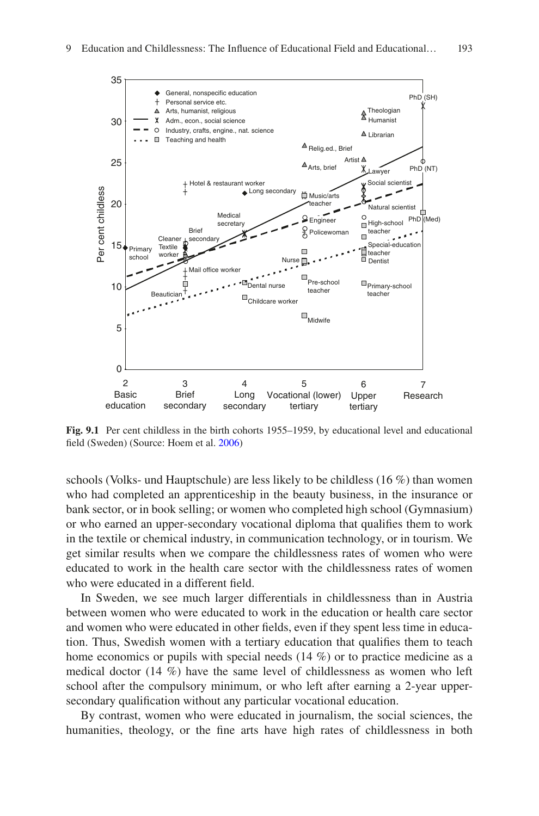<span id="page-10-0"></span>

**Fig. 9.1** Per cent childless in the birth cohorts 1955–1959, by educational level and educational field (Sweden) (Source: Hoem et al. [2006](#page-22-1))

schools (Volks- und Hauptschule) are less likely to be childless (16 %) than women who had completed an apprenticeship in the beauty business, in the insurance or bank sector, or in book selling; or women who completed high school (Gymnasium) or who earned an upper-secondary vocational diploma that qualifies them to work in the textile or chemical industry, in communication technology, or in tourism. We get similar results when we compare the childlessness rates of women who were educated to work in the health care sector with the childlessness rates of women who were educated in a different field.

In Sweden, we see much larger differentials in childlessness than in Austria between women who were educated to work in the education or health care sector and women who were educated in other fields, even if they spent less time in education. Thus, Swedish women with a tertiary education that qualifies them to teach home economics or pupils with special needs (14 %) or to practice medicine as a medical doctor  $(14 \%)$  have the same level of childlessness as women who left school after the compulsory minimum, or who left after earning a 2-year uppersecondary qualification without any particular vocational education.

By contrast, women who were educated in journalism, the social sciences, the humanities, theology, or the fine arts have high rates of childlessness in both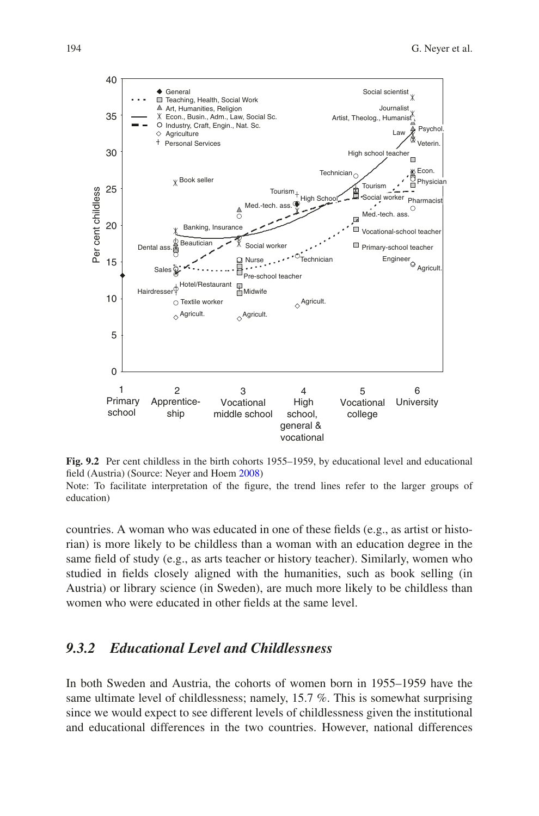<span id="page-11-0"></span>

**Fig. 9.2** Per cent childless in the birth cohorts 1955–1959, by educational level and educational field (Austria) (Source: Neyer and Hoem [2008\)](#page-23-3)

Note: To facilitate interpretation of the figure, the trend lines refer to the larger groups of education)

countries. A woman who was educated in one of these fields (e.g., as artist or historian) is more likely to be childless than a woman with an education degree in the same field of study (e.g., as arts teacher or history teacher). Similarly, women who studied in fields closely aligned with the humanities, such as book selling (in Austria) or library science (in Sweden), are much more likely to be childless than women who were educated in other fields at the same level.

## *9.3.2 Educational Level and Childlessness*

In both Sweden and Austria, the cohorts of women born in 1955–1959 have the same ultimate level of childlessness; namely, 15.7 %. This is somewhat surprising since we would expect to see different levels of childlessness given the institutional and educational differences in the two countries. However, national differences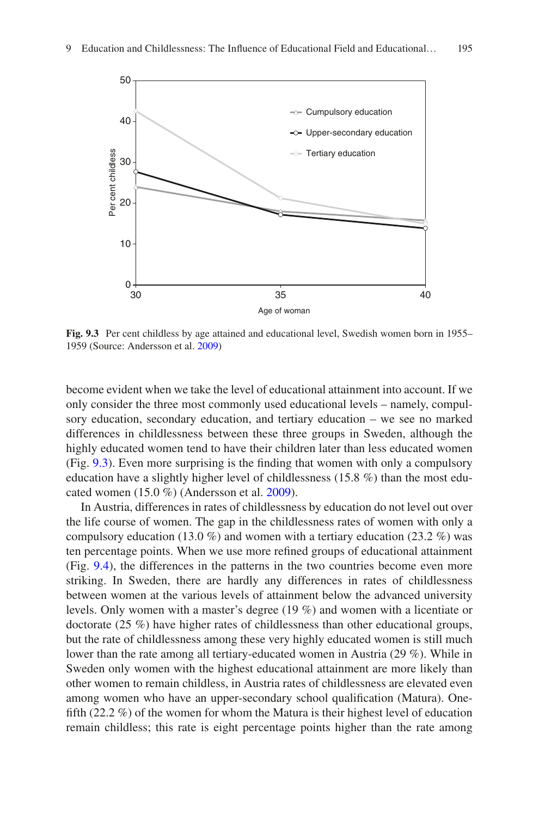<span id="page-12-0"></span>

**Fig. 9.3** Per cent childless by age attained and educational level, Swedish women born in 1955– 1959 (Source: Andersson et al. [2009](#page-21-3))

become evident when we take the level of educational attainment into account. If we only consider the three most commonly used educational levels – namely, compulsory education, secondary education, and tertiary education – we see no marked differences in childlessness between these three groups in Sweden, although the highly educated women tend to have their children later than less educated women (Fig. [9.3](#page-12-0)). Even more surprising is the finding that women with only a compulsory education have a slightly higher level of childlessness (15.8 %) than the most educated women (15.0 %) (Andersson et al. [2009](#page-21-3)).

In Austria, differences in rates of childlessness by education do not level out over the life course of women. The gap in the childlessness rates of women with only a compulsory education (13.0 %) and women with a tertiary education (23.2 %) was ten percentage points. When we use more refined groups of educational attainment (Fig. [9.4\)](#page-13-0), the differences in the patterns in the two countries become even more striking. In Sweden, there are hardly any differences in rates of childlessness between women at the various levels of attainment below the advanced university levels. Only women with a master's degree (19 %) and women with a licentiate or doctorate (25 %) have higher rates of childlessness than other educational groups, but the rate of childlessness among these very highly educated women is still much lower than the rate among all tertiary-educated women in Austria (29 %). While in Sweden only women with the highest educational attainment are more likely than other women to remain childless, in Austria rates of childlessness are elevated even among women who have an upper-secondary school qualification (Matura). Onefifth (22.2 %) of the women for whom the Matura is their highest level of education remain childless; this rate is eight percentage points higher than the rate among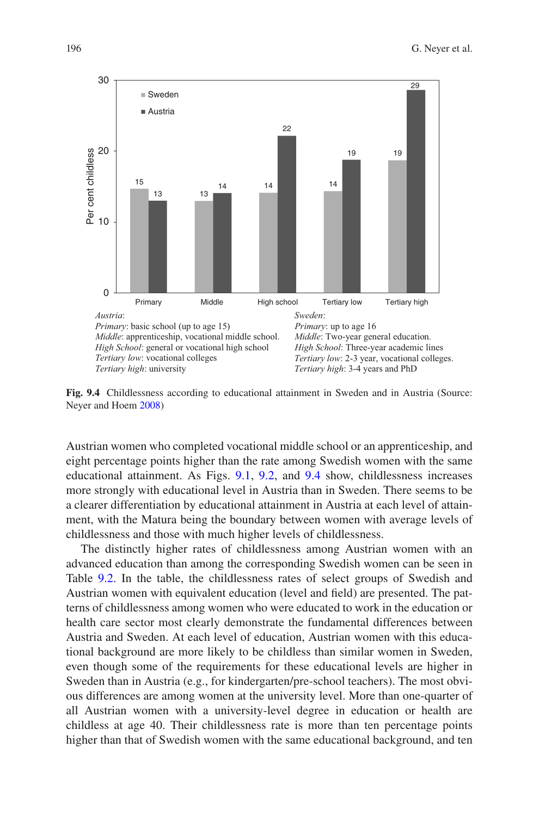<span id="page-13-0"></span>

**Fig. 9.4** Childlessness according to educational attainment in Sweden and in Austria (Source: Neyer and Hoem [2008\)](#page-23-3)

Austrian women who completed vocational middle school or an apprenticeship, and eight percentage points higher than the rate among Swedish women with the same educational attainment. As Figs. [9.1,](#page-10-0) [9.2,](#page-11-0) and [9.4](#page-13-0) show, childlessness increases more strongly with educational level in Austria than in Sweden. There seems to be a clearer differentiation by educational attainment in Austria at each level of attainment, with the Matura being the boundary between women with average levels of childlessness and those with much higher levels of childlessness.

The distinctly higher rates of childlessness among Austrian women with an advanced education than among the corresponding Swedish women can be seen in Table [9.2](#page-14-0). In the table, the childlessness rates of select groups of Swedish and Austrian women with equivalent education (level and field) are presented. The patterns of childlessness among women who were educated to work in the education or health care sector most clearly demonstrate the fundamental differences between Austria and Sweden. At each level of education, Austrian women with this educational background are more likely to be childless than similar women in Sweden, even though some of the requirements for these educational levels are higher in Sweden than in Austria (e.g., for kindergarten/pre-school teachers). The most obvious differences are among women at the university level. More than one-quarter of all Austrian women with a university-level degree in education or health are childless at age 40. Their childlessness rate is more than ten percentage points higher than that of Swedish women with the same educational background, and ten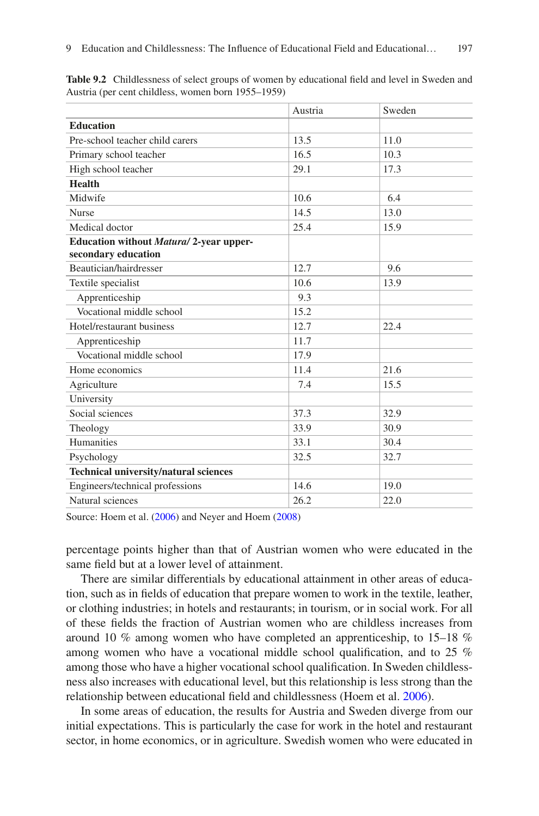|                                        | Austria | Sweden |
|----------------------------------------|---------|--------|
| <b>Education</b>                       |         |        |
| Pre-school teacher child carers        | 13.5    | 11.0   |
| Primary school teacher                 | 16.5    | 10.3   |
| High school teacher                    | 29.1    | 17.3   |
| <b>Health</b>                          |         |        |
| Midwife                                | 10.6    | 6.4    |
| <b>Nurse</b>                           | 14.5    | 13.0   |
| Medical doctor                         | 25.4    | 15.9   |
| Education without Matura/2-year upper- |         |        |
| secondary education                    |         |        |
| Beautician/hairdresser                 | 12.7    | 9.6    |
| Textile specialist                     | 10.6    | 13.9   |
| Apprenticeship                         | 9.3     |        |
| Vocational middle school               | 15.2    |        |
| Hotel/restaurant business              | 12.7    | 22.4   |
| Apprenticeship                         | 11.7    |        |
| Vocational middle school               | 17.9    |        |
| Home economics                         | 11.4    | 21.6   |
| Agriculture                            | 7.4     | 15.5   |
| University                             |         |        |
| Social sciences                        | 37.3    | 32.9   |
| Theology                               | 33.9    | 30.9   |
| Humanities                             | 33.1    | 30.4   |
| Psychology                             | 32.5    | 32.7   |
| Technical university/natural sciences  |         |        |
| Engineers/technical professions        | 14.6    | 19.0   |
| Natural sciences                       | 26.2    | 22.0   |

<span id="page-14-0"></span>**Table 9.2** Childlessness of select groups of women by educational field and level in Sweden and Austria (per cent childless, women born 1955–1959)

Source: Hoem et al. [\(2006](#page-22-1)) and Neyer and Hoem ([2008\)](#page-23-3)

percentage points higher than that of Austrian women who were educated in the same field but at a lower level of attainment.

There are similar differentials by educational attainment in other areas of education, such as in fields of education that prepare women to work in the textile, leather, or clothing industries; in hotels and restaurants; in tourism, or in social work. For all of these fields the fraction of Austrian women who are childless increases from around 10 % among women who have completed an apprenticeship, to 15–18 % among women who have a vocational middle school qualification, and to 25 % among those who have a higher vocational school qualification. In Sweden childlessness also increases with educational level, but this relationship is less strong than the relationship between educational field and childlessness (Hoem et al. [2006](#page-22-1)).

In some areas of education, the results for Austria and Sweden diverge from our initial expectations. This is particularly the case for work in the hotel and restaurant sector, in home economics, or in agriculture. Swedish women who were educated in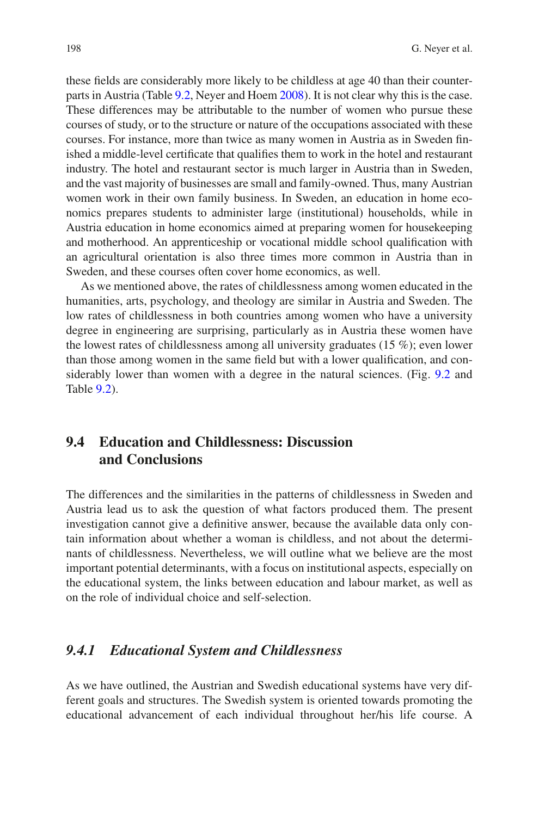these fields are considerably more likely to be childless at age 40 than their counterparts in Austria (Table [9.2](#page-14-0), Neyer and Hoem [2008\)](#page-23-3). It is not clear why this is the case. These differences may be attributable to the number of women who pursue these courses of study, or to the structure or nature of the occupations associated with these courses. For instance, more than twice as many women in Austria as in Sweden finished a middle-level certificate that qualifies them to work in the hotel and restaurant industry. The hotel and restaurant sector is much larger in Austria than in Sweden, and the vast majority of businesses are small and family-owned. Thus, many Austrian women work in their own family business. In Sweden, an education in home economics prepares students to administer large (institutional) households, while in Austria education in home economics aimed at preparing women for housekeeping and motherhood. An apprenticeship or vocational middle school qualification with an agricultural orientation is also three times more common in Austria than in Sweden, and these courses often cover home economics, as well.

As we mentioned above, the rates of childlessness among women educated in the humanities, arts, psychology, and theology are similar in Austria and Sweden. The low rates of childlessness in both countries among women who have a university degree in engineering are surprising, particularly as in Austria these women have the lowest rates of childlessness among all university graduates (15 %); even lower than those among women in the same field but with a lower qualification, and considerably lower than women with a degree in the natural sciences. (Fig. [9.2](#page-11-0) and Table [9.2\)](#page-14-0).

# <span id="page-15-0"></span>**9.4 Education and Childlessness: Discussion and Conclusions**

The differences and the similarities in the patterns of childlessness in Sweden and Austria lead us to ask the question of what factors produced them. The present investigation cannot give a definitive answer, because the available data only contain information about whether a woman is childless, and not about the determinants of childlessness. Nevertheless, we will outline what we believe are the most important potential determinants, with a focus on institutional aspects, especially on the educational system, the links between education and labour market, as well as on the role of individual choice and self-selection.

## *9.4.1 Educational System and Childlessness*

As we have outlined, the Austrian and Swedish educational systems have very different goals and structures. The Swedish system is oriented towards promoting the educational advancement of each individual throughout her/his life course. A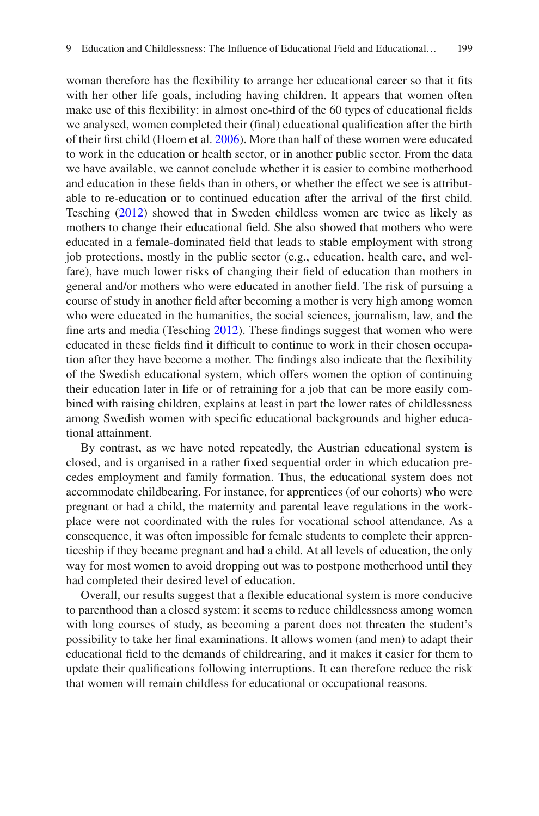woman therefore has the flexibility to arrange her educational career so that it fits with her other life goals, including having children. It appears that women often make use of this flexibility: in almost one-third of the 60 types of educational fields we analysed, women completed their (final) educational qualification after the birth of their first child (Hoem et al. [2006](#page-22-1)). More than half of these women were educated to work in the education or health sector, or in another public sector. From the data we have available, we cannot conclude whether it is easier to combine motherhood and education in these fields than in others, or whether the effect we see is attributable to re-education or to continued education after the arrival of the first child. Tesching [\(2012](#page-24-7)) showed that in Sweden childless women are twice as likely as mothers to change their educational field. She also showed that mothers who were educated in a female-dominated field that leads to stable employment with strong job protections, mostly in the public sector (e.g., education, health care, and welfare), have much lower risks of changing their field of education than mothers in general and/or mothers who were educated in another field. The risk of pursuing a course of study in another field after becoming a mother is very high among women who were educated in the humanities, the social sciences, journalism, law, and the fine arts and media (Tesching [2012](#page-24-7)). These findings suggest that women who were educated in these fields find it difficult to continue to work in their chosen occupation after they have become a mother. The findings also indicate that the flexibility of the Swedish educational system, which offers women the option of continuing their education later in life or of retraining for a job that can be more easily combined with raising children, explains at least in part the lower rates of childlessness among Swedish women with specific educational backgrounds and higher educational attainment.

By contrast, as we have noted repeatedly, the Austrian educational system is closed, and is organised in a rather fixed sequential order in which education precedes employment and family formation. Thus, the educational system does not accommodate childbearing. For instance, for apprentices (of our cohorts) who were pregnant or had a child, the maternity and parental leave regulations in the workplace were not coordinated with the rules for vocational school attendance. As a consequence, it was often impossible for female students to complete their apprenticeship if they became pregnant and had a child. At all levels of education, the only way for most women to avoid dropping out was to postpone motherhood until they had completed their desired level of education.

Overall, our results suggest that a flexible educational system is more conducive to parenthood than a closed system: it seems to reduce childlessness among women with long courses of study, as becoming a parent does not threaten the student's possibility to take her final examinations. It allows women (and men) to adapt their educational field to the demands of childrearing, and it makes it easier for them to update their qualifications following interruptions. It can therefore reduce the risk that women will remain childless for educational or occupational reasons.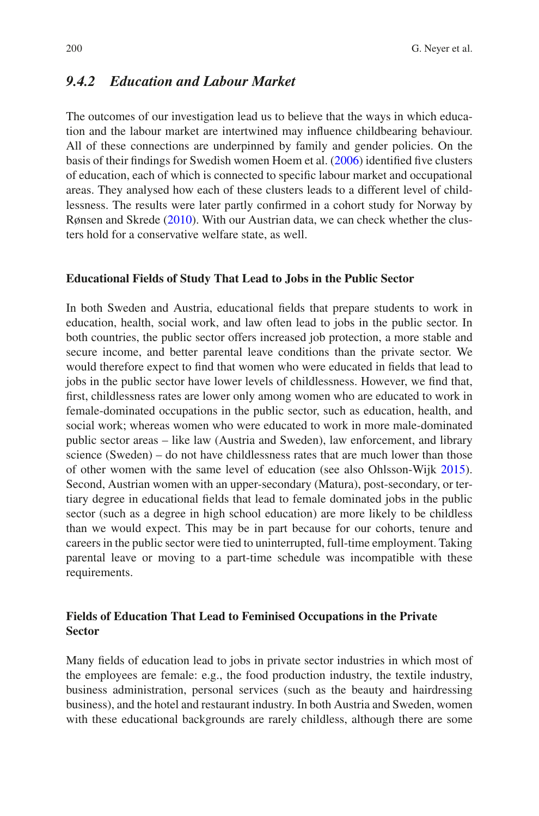## *9.4.2 Education and Labour Market*

The outcomes of our investigation lead us to believe that the ways in which education and the labour market are intertwined may influence childbearing behaviour. All of these connections are underpinned by family and gender policies. On the basis of their findings for Swedish women Hoem et al. ([2006\)](#page-22-1) identified five clusters of education, each of which is connected to specific labour market and occupational areas. They analysed how each of these clusters leads to a different level of childlessness. The results were later partly confirmed in a cohort study for Norway by Rønsen and Skrede ([2010\)](#page-24-9). With our Austrian data, we can check whether the clusters hold for a conservative welfare state, as well.

#### **Educational Fields of Study That Lead to Jobs in the Public Sector**

In both Sweden and Austria, educational fields that prepare students to work in education, health, social work, and law often lead to jobs in the public sector. In both countries, the public sector offers increased job protection, a more stable and secure income, and better parental leave conditions than the private sector. We would therefore expect to find that women who were educated in fields that lead to jobs in the public sector have lower levels of childlessness. However, we find that, first, childlessness rates are lower only among women who are educated to work in female-dominated occupations in the public sector, such as education, health, and social work; whereas women who were educated to work in more male-dominated public sector areas – like law (Austria and Sweden), law enforcement, and library science (Sweden) – do not have childlessness rates that are much lower than those of other women with the same level of education (see also Ohlsson-Wijk [2015\)](#page-24-10). Second, Austrian women with an upper-secondary (Matura), post-secondary, or tertiary degree in educational fields that lead to female dominated jobs in the public sector (such as a degree in high school education) are more likely to be childless than we would expect. This may be in part because for our cohorts, tenure and careers in the public sector were tied to uninterrupted, full-time employment. Taking parental leave or moving to a part-time schedule was incompatible with these requirements.

#### **Fields of Education That Lead to Feminised Occupations in the Private Sector**

Many fields of education lead to jobs in private sector industries in which most of the employees are female: e.g., the food production industry, the textile industry, business administration, personal services (such as the beauty and hairdressing business), and the hotel and restaurant industry. In both Austria and Sweden, women with these educational backgrounds are rarely childless, although there are some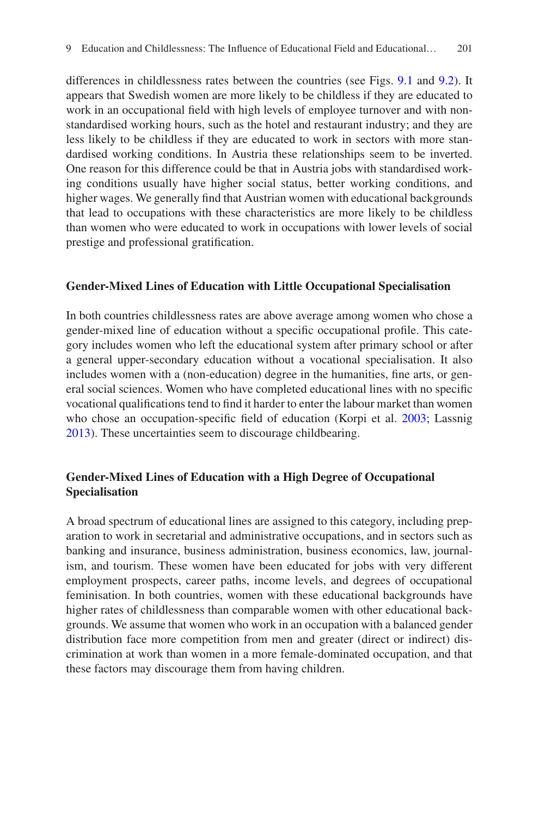differences in childlessness rates between the countries (see Figs. [9.1](#page-10-0) and [9.2](#page-11-0)). It appears that Swedish women are more likely to be childless if they are educated to work in an occupational field with high levels of employee turnover and with nonstandardised working hours, such as the hotel and restaurant industry; and they are less likely to be childless if they are educated to work in sectors with more standardised working conditions. In Austria these relationships seem to be inverted. One reason for this difference could be that in Austria jobs with standardised working conditions usually have higher social status, better working conditions, and higher wages. We generally find that Austrian women with educational backgrounds that lead to occupations with these characteristics are more likely to be childless than women who were educated to work in occupations with lower levels of social prestige and professional gratification.

#### **Gender-Mixed Lines of Education with Little Occupational Specialisation**

In both countries childlessness rates are above average among women who chose a gender-mixed line of education without a specific occupational profile. This category includes women who left the educational system after primary school or after a general upper-secondary education without a vocational specialisation. It also includes women with a (non-education) degree in the humanities, fine arts, or general social sciences. Women who have completed educational lines with no specific vocational qualifications tend to find it harder to enter the labour market than women who chose an occupation-specific field of education (Korpi et al. [2003;](#page-23-18) Lassnig [2013\)](#page-23-16). These uncertainties seem to discourage childbearing.

#### **Gender-Mixed Lines of Education with a High Degree of Occupational Specialisation**

A broad spectrum of educational lines are assigned to this category, including preparation to work in secretarial and administrative occupations, and in sectors such as banking and insurance, business administration, business economics, law, journalism, and tourism. These women have been educated for jobs with very different employment prospects, career paths, income levels, and degrees of occupational feminisation. In both countries, women with these educational backgrounds have higher rates of childlessness than comparable women with other educational backgrounds. We assume that women who work in an occupation with a balanced gender distribution face more competition from men and greater (direct or indirect) discrimination at work than women in a more female-dominated occupation, and that these factors may discourage them from having children.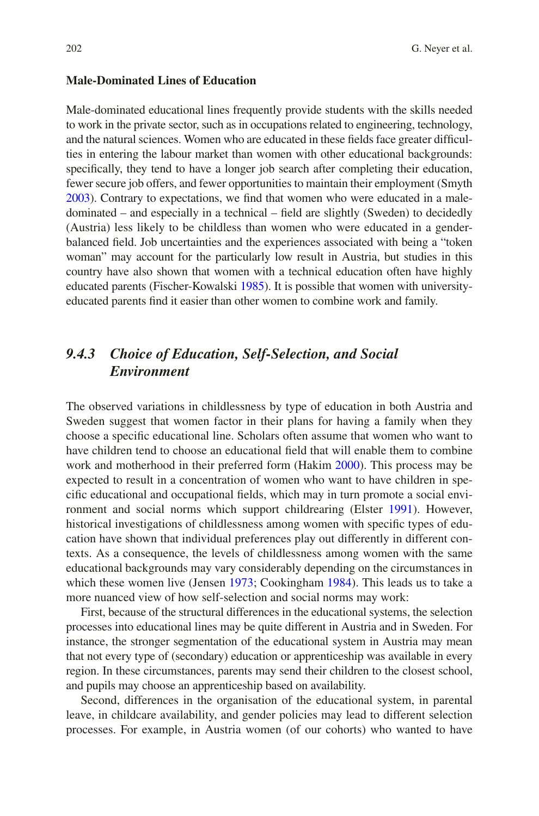#### **Male-Dominated Lines of Education**

Male-dominated educational lines frequently provide students with the skills needed to work in the private sector, such as in occupations related to engineering, technology, and the natural sciences. Women who are educated in these fields face greater difficulties in entering the labour market than women with other educational backgrounds: specifically, they tend to have a longer job search after completing their education, fewer secure job offers, and fewer opportunities to maintain their employment (Smyth [2003](#page-24-11)). Contrary to expectations, we find that women who were educated in a maledominated – and especially in a technical – field are slightly (Sweden) to decidedly (Austria) less likely to be childless than women who were educated in a genderbalanced field. Job uncertainties and the experiences associated with being a "token woman" may account for the particularly low result in Austria, but studies in this country have also shown that women with a technical education often have highly educated parents (Fischer-Kowalski [1985\)](#page-22-16). It is possible that women with universityeducated parents find it easier than other women to combine work and family.

# *9.4.3 Choice of Education, Self-Selection, and Social Environment*

The observed variations in childlessness by type of education in both Austria and Sweden suggest that women factor in their plans for having a family when they choose a specific educational line. Scholars often assume that women who want to have children tend to choose an educational field that will enable them to combine work and motherhood in their preferred form (Hakim [2000](#page-22-17)). This process may be expected to result in a concentration of women who want to have children in specific educational and occupational fields, which may in turn promote a social environment and social norms which support childrearing (Elster [1991\)](#page-22-18). However, historical investigations of childlessness among women with specific types of education have shown that individual preferences play out differently in different contexts. As a consequence, the levels of childlessness among women with the same educational backgrounds may vary considerably depending on the circumstances in which these women live (Jensen [1973;](#page-22-19) Cookingham [1984\)](#page-21-9). This leads us to take a more nuanced view of how self-selection and social norms may work:

First, because of the structural differences in the educational systems, the selection processes into educational lines may be quite different in Austria and in Sweden. For instance, the stronger segmentation of the educational system in Austria may mean that not every type of (secondary) education or apprenticeship was available in every region. In these circumstances, parents may send their children to the closest school, and pupils may choose an apprenticeship based on availability.

Second, differences in the organisation of the educational system, in parental leave, in childcare availability, and gender policies may lead to different selection processes. For example, in Austria women (of our cohorts) who wanted to have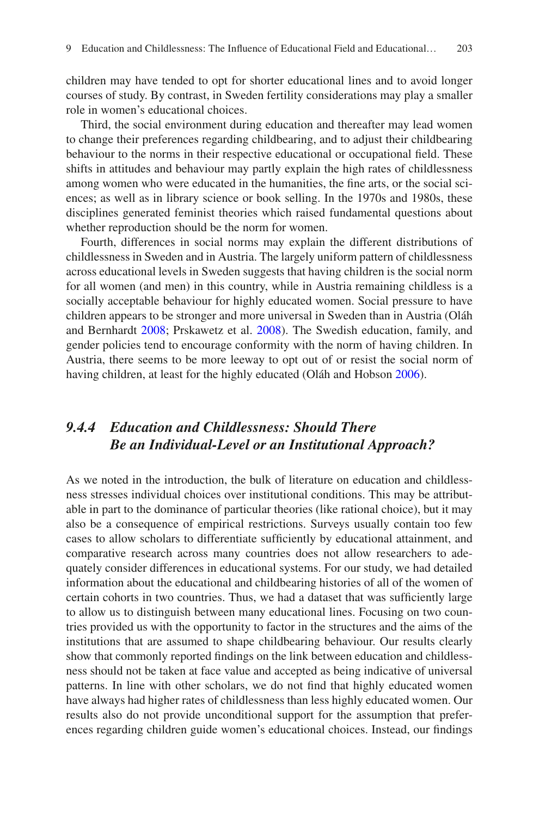children may have tended to opt for shorter educational lines and to avoid longer courses of study. By contrast, in Sweden fertility considerations may play a smaller role in women's educational choices.

Third, the social environment during education and thereafter may lead women to change their preferences regarding childbearing, and to adjust their childbearing behaviour to the norms in their respective educational or occupational field. These shifts in attitudes and behaviour may partly explain the high rates of childlessness among women who were educated in the humanities, the fine arts, or the social sciences; as well as in library science or book selling. In the 1970s and 1980s, these disciplines generated feminist theories which raised fundamental questions about whether reproduction should be the norm for women.

Fourth, differences in social norms may explain the different distributions of childlessness in Sweden and in Austria. The largely uniform pattern of childlessness across educational levels in Sweden suggests that having children is the social norm for all women (and men) in this country, while in Austria remaining childless is a socially acceptable behaviour for highly educated women. Social pressure to have children appears to be stronger and more universal in Sweden than in Austria (Oláh and Bernhardt [2008](#page-23-19); Prskawetz et al. [2008](#page-24-12)). The Swedish education, family, and gender policies tend to encourage conformity with the norm of having children. In Austria, there seems to be more leeway to opt out of or resist the social norm of having children, at least for the highly educated (Oláh and Hobson [2006](#page-24-13)).

# *9.4.4 Education and Childlessness: Should There Be an Individual-Level or an Institutional Approach?*

As we noted in the introduction, the bulk of literature on education and childlessness stresses individual choices over institutional conditions. This may be attributable in part to the dominance of particular theories (like rational choice), but it may also be a consequence of empirical restrictions. Surveys usually contain too few cases to allow scholars to differentiate sufficiently by educational attainment, and comparative research across many countries does not allow researchers to adequately consider differences in educational systems. For our study, we had detailed information about the educational and childbearing histories of all of the women of certain cohorts in two countries. Thus, we had a dataset that was sufficiently large to allow us to distinguish between many educational lines. Focusing on two countries provided us with the opportunity to factor in the structures and the aims of the institutions that are assumed to shape childbearing behaviour. Our results clearly show that commonly reported findings on the link between education and childlessness should not be taken at face value and accepted as being indicative of universal patterns. In line with other scholars, we do not find that highly educated women have always had higher rates of childlessness than less highly educated women. Our results also do not provide unconditional support for the assumption that preferences regarding children guide women's educational choices. Instead, our findings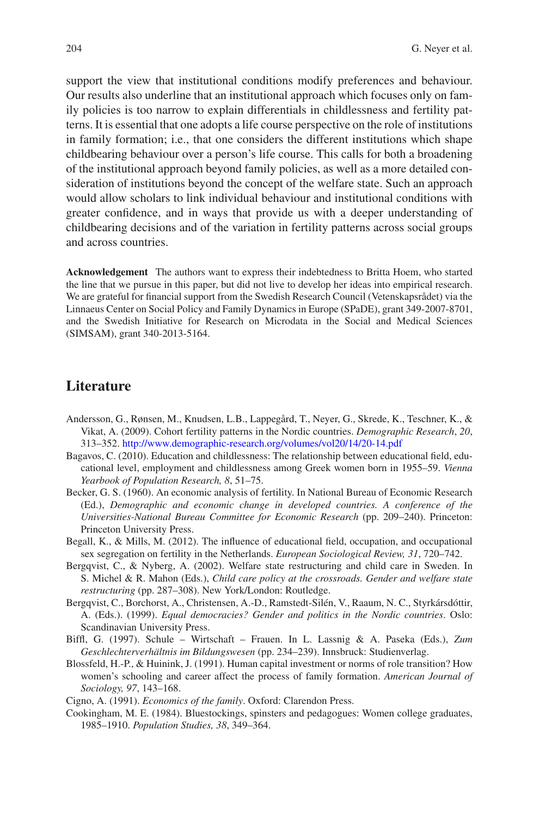support the view that institutional conditions modify preferences and behaviour. Our results also underline that an institutional approach which focuses only on family policies is too narrow to explain differentials in childlessness and fertility patterns. It is essential that one adopts a life course perspective on the role of institutions in family formation; i.e., that one considers the different institutions which shape childbearing behaviour over a person's life course. This calls for both a broadening of the institutional approach beyond family policies, as well as a more detailed consideration of institutions beyond the concept of the welfare state. Such an approach would allow scholars to link individual behaviour and institutional conditions with greater confidence, and in ways that provide us with a deeper understanding of childbearing decisions and of the variation in fertility patterns across social groups and across countries.

**Acknowledgement** The authors want to express their indebtedness to Britta Hoem, who started the line that we pursue in this paper, but did not live to develop her ideas into empirical research. We are grateful for financial support from the Swedish Research Council (Vetenskapsrådet) via the Linnaeus Center on Social Policy and Family Dynamics in Europe (SPaDE), grant 349-2007-8701, and the Swedish Initiative for Research on Microdata in the Social and Medical Sciences (SIMSAM), grant 340-2013-5164.

#### **Literature**

- <span id="page-21-3"></span>Andersson, G., Rønsen, M., Knudsen, L.B., Lappegård, T., Neyer, G., Skrede, K., Teschner, K., & Vikat, A. (2009). Cohort fertility patterns in the Nordic countries. *Demographic Research*, *20*, 313–352. <http://www.demographic-research.org/volumes/vol20/14/20-14.pdf>
- <span id="page-21-4"></span>Bagavos, C. (2010). Education and childlessness: The relationship between educational field, educational level, employment and childlessness among Greek women born in 1955–59. *Vienna Yearbook of Population Research, 8*, 51–75.
- <span id="page-21-0"></span>Becker, G. S. (1960). An economic analysis of fertility. In National Bureau of Economic Research (Ed.), *Demographic and economic change in developed countries. A conference of the Universities-National Bureau Committee for Economic Research* (pp. 209–240). Princeton: Princeton University Press.
- <span id="page-21-5"></span>Begall, K., & Mills, M. (2012). The influence of educational field, occupation, and occupational sex segregation on fertility in the Netherlands. *European Sociological Review, 31*, 720–742.
- <span id="page-21-6"></span>Bergqvist, C., & Nyberg, A. (2002). Welfare state restructuring and child care in Sweden. In S. Michel & R. Mahon (Eds.), *Child care policy at the crossroads. Gender and welfare state restructuring* (pp. 287–308). New York/London: Routledge.
- <span id="page-21-7"></span>Bergqvist, C., Borchorst, A., Christensen, A.-D., Ramstedt-Silén, V., Raaum, N. C., Styrkársdóttir, A. (Eds.). (1999). *Equal democracies? Gender and politics in the Nordic countries*. Oslo: Scandinavian University Press.
- <span id="page-21-8"></span>Biffl, G. (1997). Schule – Wirtschaft – Frauen. In L. Lassnig & A. Paseka (Eds.), *Zum Geschlechterverhältnis im Bildungswesen* (pp. 234–239). Innsbruck: Studienverlag.
- <span id="page-21-2"></span>Blossfeld, H.-P., & Huinink, J. (1991). Human capital investment or norms of role transition? How women's schooling and career affect the process of family formation. *American Journal of Sociology, 97*, 143–168.

<span id="page-21-1"></span>Cigno, A. (1991). *Economics of the family*. Oxford: Clarendon Press.

<span id="page-21-9"></span>Cookingham, M. E. (1984). Bluestockings, spinsters and pedagogues: Women college graduates, 1985–1910. *Population Studies, 38*, 349–364.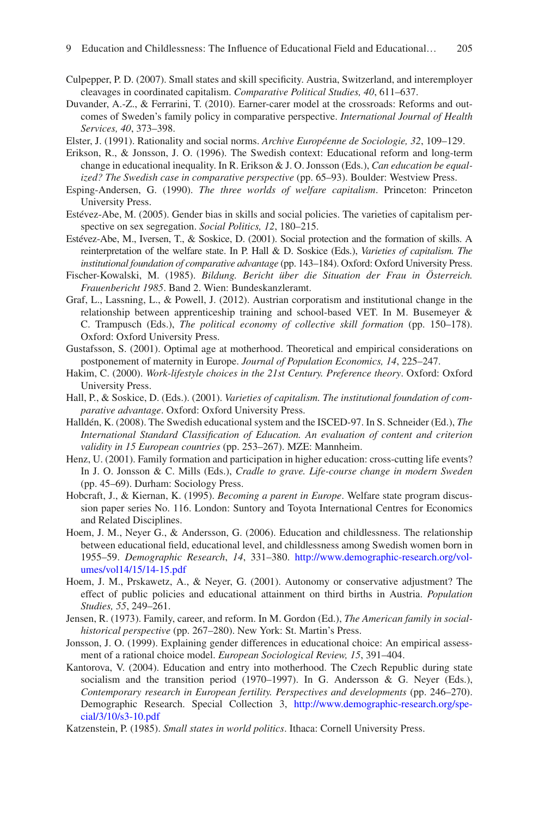- <span id="page-22-14"></span>Culpepper, P. D. (2007). Small states and skill specificity. Austria, Switzerland, and interemployer cleavages in coordinated capitalism. *Comparative Political Studies, 40*, 611–637.
- <span id="page-22-9"></span>Duvander, A.-Z., & Ferrarini, T. (2010). Earner-carer model at the crossroads: Reforms and outcomes of Sweden's family policy in comparative perspective. *International Journal of Health Services, 40*, 373–398.
- <span id="page-22-18"></span>Elster, J. (1991). Rationality and social norms. *Archive Européenne de Sociologie, 32*, 109–129.
- <span id="page-22-12"></span>Erikson, R., & Jonsson, J. O. (1996). The Swedish context: Educational reform and long-term change in educational inequality. In R. Erikson & J. O. Jonsson (Eds.), *Can education be equalized? The Swedish case in comparative perspective* (pp. 65–93). Boulder: Westview Press.
- <span id="page-22-8"></span>Esping-Andersen, G. (1990). *The three worlds of welfare capitalism*. Princeton: Princeton University Press.
- Estévez-Abe, M. (2005). Gender bias in skills and social policies. The varieties of capitalism perspective on sex segregation. *Social Politics, 12*, 180–215.
- <span id="page-22-5"></span>Estévez-Abe, M., Iversen, T., & Soskice, D. (2001). Social protection and the formation of skills. A reinterpretation of the welfare state. In P. Hall & D. Soskice (Eds.), *Varieties of capitalism. The institutional foundation of comparative advantage* (pp. 143–184). Oxford: Oxford University Press.
- <span id="page-22-16"></span>Fischer-Kowalski, M. (1985). *Bildung. Bericht über die Situation der Frau in Österreich. Frauenbericht 1985*. Band 2. Wien: Bundeskanzleramt.
- <span id="page-22-13"></span>Graf, L., Lassning, L., & Powell, J. (2012). Austrian corporatism and institutional change in the relationship between apprenticeship training and school-based VET. In M. Busemeyer & C. Trampusch (Eds.), *The political economy of collective skill formation* (pp. 150–178). Oxford: Oxford University Press.
- <span id="page-22-2"></span>Gustafsson, S. (2001). Optimal age at motherhood. Theoretical and empirical considerations on postponement of maternity in Europe. *Journal of Population Economics, 14*, 225–247.
- <span id="page-22-17"></span>Hakim, C. (2000). *Work-lifestyle choices in the 21st Century. Preference theory*. Oxford: Oxford University Press.
- <span id="page-22-6"></span>Hall, P., & Soskice, D. (Eds.). (2001). *Varieties of capitalism. The institutional foundation of comparative advantage*. Oxford: Oxford University Press.
- <span id="page-22-11"></span>Halldén, K. (2008). The Swedish educational system and the ISCED-97. In S. Schneider (Ed.), *The International Standard Classification of Education. An evaluation of content and criterion validity in 15 European countries* (pp. 253–267). MZE: Mannheim.
- <span id="page-22-10"></span>Henz, U. (2001). Family formation and participation in higher education: cross-cutting life events? In J. O. Jonsson & C. Mills (Eds.), *Cradle to grave. Life-course change in modern Sweden* (pp. 45–69). Durham: Sociology Press.
- <span id="page-22-0"></span>Hobcraft, J., & Kiernan, K. (1995). *Becoming a parent in Europe*. Welfare state program discussion paper series No. 116. London: Suntory and Toyota International Centres for Economics and Related Disciplines.
- <span id="page-22-1"></span>Hoem, J. M., Neyer G., & Andersson, G. (2006). Education and childlessness. The relationship between educational field, educational level, and childlessness among Swedish women born in 1955–59. *Demographic Research*, *14*, 331–380. [http://www.demographic-research.org/vol](http://www.demographic-research.org/volumes/vol14/15/14-15.pdf)[umes/vol14/15/14-15.pdf](http://www.demographic-research.org/volumes/vol14/15/14-15.pdf)
- <span id="page-22-7"></span>Hoem, J. M., Prskawetz, A., & Neyer, G. (2001). Autonomy or conservative adjustment? The effect of public policies and educational attainment on third births in Austria. *Population Studies, 55*, 249–261.
- <span id="page-22-19"></span>Jensen, R. (1973). Family, career, and reform. In M. Gordon (Ed.), *The American family in socialhistorical perspective* (pp. 267–280). New York: St. Martin's Press.
- <span id="page-22-15"></span>Jonsson, J. O. (1999). Explaining gender differences in educational choice: An empirical assessment of a rational choice model. *European Sociological Review, 15*, 391–404.
- <span id="page-22-3"></span>Kantorova, V. (2004). Education and entry into motherhood. The Czech Republic during state socialism and the transition period (1970–1997). In G. Andersson & G. Neyer (Eds.), *Contemporary research in European fertility. Perspectives and developments* (pp. 246–270). Demographic Research. Special Collection 3, [http://www.demographic-research.org/spe](http://www.demographic-research.org/volumes/vol5/6/5-6.pdf)[cial/3/10/s3-10.pdf](http://www.demographic-research.org/volumes/vol5/6/5-6.pdf)
- <span id="page-22-4"></span>Katzenstein, P. (1985). *Small states in world politics*. Ithaca: Cornell University Press.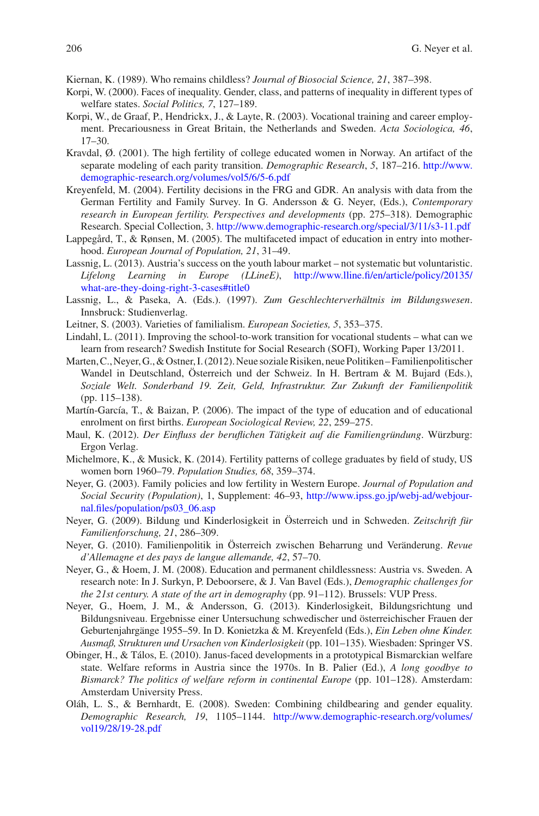<span id="page-23-0"></span>Kiernan, K. (1989). Who remains childless? *Journal of Biosocial Science, 21*, 387–398.

- <span id="page-23-10"></span>Korpi, W. (2000). Faces of inequality. Gender, class, and patterns of inequality in different types of welfare states. *Social Politics, 7*, 127–189.
- <span id="page-23-18"></span>Korpi, W., de Graaf, P., Hendrickx, J., & Layte, R. (2003). Vocational training and career employment. Precariousness in Great Britain, the Netherlands and Sweden. *Acta Sociologica, 46*, 17–30.
- <span id="page-23-4"></span>Kravdal, Ø. (2001). The high fertility of college educated women in Norway. An artifact of the separate modeling of each parity transition. *Demographic Research*, *5*, 187–216. [http://www.](http://www.demographic-research.org/volumes/vol5/6/5-6.pdf) [demographic-research.org/volumes/vol5/6/5-6.pdf](http://www.demographic-research.org/volumes/vol5/6/5-6.pdf)
- <span id="page-23-5"></span>Kreyenfeld, M. (2004). Fertility decisions in the FRG and GDR. An analysis with data from the German Fertility and Family Survey. In G. Andersson & G. Neyer, (Eds.), *Contemporary research in European fertility. Perspectives and developments* (pp. 275–318). Demographic Research. Special Collection, 3. <http://www.demographic-research.org/special/3/11/s3-11.pdf>
- <span id="page-23-6"></span>Lappegård, T., & Rønsen, M. (2005). The multifaceted impact of education in entry into motherhood. *European Journal of Population, 21*, 31–49.
- <span id="page-23-16"></span>Lassnig, L. (2013). Austria's success on the youth labour market – not systematic but voluntaristic. *Lifelong Learning in Europe (LLineE)*, [http://www.lline.fi/en/article/policy/20135/](http://www.lline.fi/en/article/policy/20135/what-are-they-doing-right-3-cases#title0) [what-are-they-doing-right-3-cases#title0](http://www.lline.fi/en/article/policy/20135/what-are-they-doing-right-3-cases#title0)
- <span id="page-23-17"></span>Lassnig, L., & Paseka, A. (Eds.). (1997). *Zum Geschlechterverhältnis im Bildungswesen*. Innsbruck: Studienverlag.
- Leitner, S. (2003). Varieties of familialism. *European Societies, 5*, 353–375.
- <span id="page-23-15"></span>Lindahl, L. (2011). Improving the school-to-work transition for vocational students – what can we learn from research? Swedish Institute for Social Research (SOFI), Working Paper 13/2011.
- <span id="page-23-11"></span>Marten, C., Neyer, G., & Ostner, I. (2012). Neue soziale Risiken, neue Politiken – Familienpolitischer Wandel in Deutschland, Österreich und der Schweiz. In H. Bertram & M. Bujard (Eds.), *Soziale Welt. Sonderband 19. Zeit, Geld, Infrastruktur. Zur Zukunft der Familienpolitik* (pp. 115–138).
- <span id="page-23-7"></span>Martín-García, T., & Baizan, P. (2006). The impact of the type of education and of educational enrolment on first births. *European Sociological Review, 22*, 259–275.
- <span id="page-23-8"></span>Maul, K. (2012). *Der Einfluss der beruflichen Tätigkeit auf die Familiengründung*. Würzburg: Ergon Verlag.
- <span id="page-23-9"></span>Michelmore, K., & Musick, K. (2014). Fertility patterns of college graduates by field of study, US women born 1960–79. *Population Studies, 68*, 359–374.
- <span id="page-23-12"></span>Neyer, G. (2003). Family policies and low fertility in Western Europe. *Journal of Population and Social Security (Population)*, 1, Supplement: 46–93, [http://www.ipss.go.jp/webj-ad/webjour](http://www.demographic-research.org/volumes/vol19/12/19-12.pdf)[nal.files/population/ps03\\_06.asp](http://www.demographic-research.org/volumes/vol19/12/19-12.pdf)
- <span id="page-23-2"></span>Neyer, G. (2009). Bildung und Kinderlosigkeit in Österreich und in Schweden. *Zeitschrift für Familienforschung, 21*, 286–309.
- <span id="page-23-14"></span>Neyer, G. (2010). Familienpolitik in Österreich zwischen Beharrung und Veränderung. *Revue d'Allemagne et des pays de langue allemande, 42*, 57–70.
- <span id="page-23-3"></span>Neyer, G., & Hoem, J. M. (2008). Education and permanent childlessness: Austria vs. Sweden. A research note: In J. Surkyn, P. Deboorsere, & J. Van Bavel (Eds.), *Demographic challenges for the 21st century. A state of the art in demography* (pp. 91–112). Brussels: VUP Press.
- <span id="page-23-1"></span>Neyer, G., Hoem, J. M., & Andersson, G. (2013). Kinderlosigkeit, Bildungsrichtung und Bildungsniveau. Ergebnisse einer Untersuchung schwedischer und österreichischer Frauen der Geburtenjahrgänge 1955–59. In D. Konietzka & M. Kreyenfeld (Eds.), *Ein Leben ohne Kinder. Ausmaß, Strukturen und Ursachen von Kinderlosigkeit* (pp. 101–135). Wiesbaden: Springer VS.
- <span id="page-23-13"></span>Obinger, H., & Tálos, E. (2010). Janus-faced developments in a prototypical Bismarckian welfare state. Welfare reforms in Austria since the 1970s. In B. Palier (Ed.), *A long goodbye to Bismarck? The politics of welfare reform in continental Europe* (pp. 101–128). Amsterdam: Amsterdam University Press.
- <span id="page-23-19"></span>Oláh, L. S., & Bernhardt, E. (2008). Sweden: Combining childbearing and gender equality. *Demographic Research, 19*, 1105–1144. [http://www.demographic-research.org/volumes/](http://www.demographic-research.org/volumes/vol19/12/19-12.pdf) [vol19/28/19-28.pdf](http://www.demographic-research.org/volumes/vol19/12/19-12.pdf)